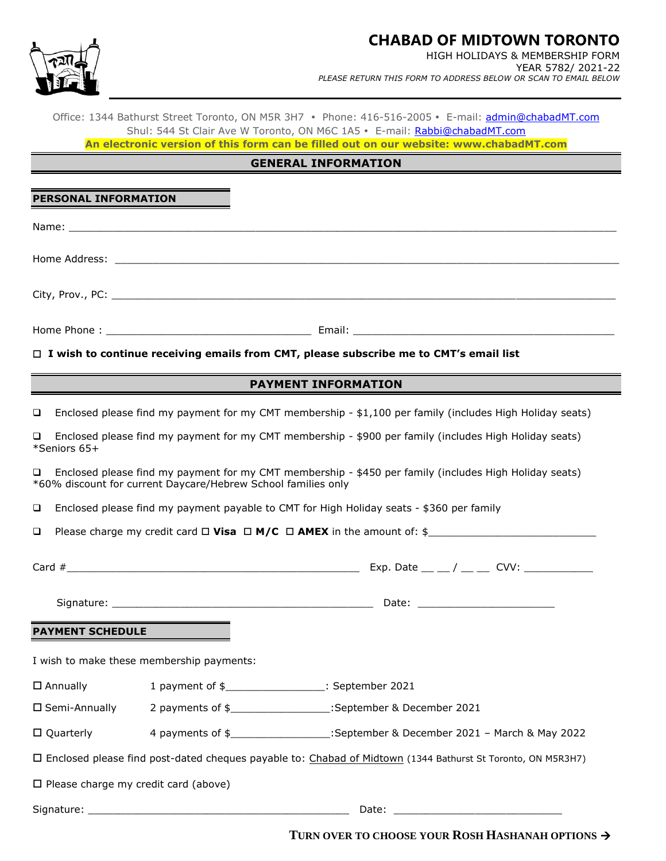

## **CHABAD OF MIDTOWN TORONTO**

HIGH HOLIDAYS & MEMBERSHIP FORM YEAR 5782/ 2021-22 *PLEASE RETURN THIS FORM TO ADDRESS BELOW OR SCAN TO EMAIL BELOW*

Office: 1344 Bathurst Street Toronto, ON M5R 3H7 . Phone: 416-516-2005 . E-mail: [admin@chabadMT.com](mailto:admin@chabadMT.com) Shul: 544 St Clair Ave W Toronto, ON M6C 1A5 · E-mail: [Rabbi@chabadMT.com](mailto:Rabbi@chabadMT.com)

**An electronic version of this form can be filled out on our website: www.chabadMT.com**

## **GENERAL INFORMATION**

| PERSONAL INFORMATION                                                                                                                                                    |                                                                                                          |
|-------------------------------------------------------------------------------------------------------------------------------------------------------------------------|----------------------------------------------------------------------------------------------------------|
|                                                                                                                                                                         |                                                                                                          |
|                                                                                                                                                                         |                                                                                                          |
|                                                                                                                                                                         |                                                                                                          |
|                                                                                                                                                                         | $\Box$ I wish to continue receiving emails from CMT, please subscribe me to CMT's email list             |
|                                                                                                                                                                         |                                                                                                          |
|                                                                                                                                                                         | <b>PAYMENT INFORMATION</b>                                                                               |
| $\Box$                                                                                                                                                                  | Enclosed please find my payment for my CMT membership - \$1,100 per family (includes High Holiday seats) |
| $\Box$<br>*Seniors 65+                                                                                                                                                  | Enclosed please find my payment for my CMT membership - \$900 per family (includes High Holiday seats)   |
| Enclosed please find my payment for my CMT membership - \$450 per family (includes High Holiday seats)<br>*60% discount for current Daycare/Hebrew School families only |                                                                                                          |

❑ Enclosed please find my payment payable to CMT for High Holiday seats - \$360 per family

❑ Please charge my credit card **Visa M/C AMEX** in the amount of: \$\_\_\_\_\_\_\_\_\_\_\_\_\_\_\_\_\_\_\_\_\_\_\_\_\_\_\_

| Card $#$                | Exp. Date $\_\_\_\_$ / $\_\_\_$ CVV: |
|-------------------------|--------------------------------------|
|                         | Date:                                |
| <b>PAYMENT SCHEDULE</b> |                                      |

I wish to make these membership payments:

Annually 1 payment of \$\_\_\_\_\_\_\_\_\_\_\_\_\_\_\_\_: September 2021

Semi-Annually 2 payments of \$\_\_\_\_\_\_\_\_\_\_\_\_\_\_\_\_:September & December 2021

| □ Quarterly<br>4 payments of \$ | :September & December 2021 - March & May 2022 |
|---------------------------------|-----------------------------------------------|
|---------------------------------|-----------------------------------------------|

Enclosed please find post-dated cheques payable to: Chabad of Midtown (1344 Bathurst St Toronto, ON M5R3H7)

 $\square$  Please charge my credit card (above)

Signature: \_\_\_\_\_\_\_\_\_\_\_\_\_\_\_\_\_\_\_\_\_\_\_\_\_\_\_\_\_\_\_\_\_\_\_\_\_\_\_\_\_\_ Date: \_\_\_\_\_\_\_\_\_\_\_\_\_\_\_\_\_\_\_\_\_\_\_\_\_\_\_

**TURN OVER TO CHOOSE YOUR ROSH HASHANAH OPTIONS** →